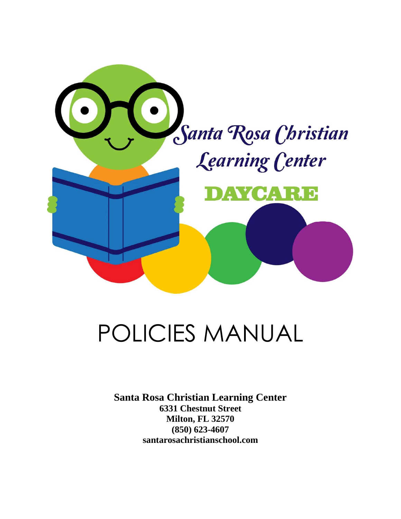

## POLICIES MANUAL

**Santa Rosa Christian Learning Center 6331 Chestnut Street Milton, FL 32570 (850) 623-4607 santarosachristianschool.com**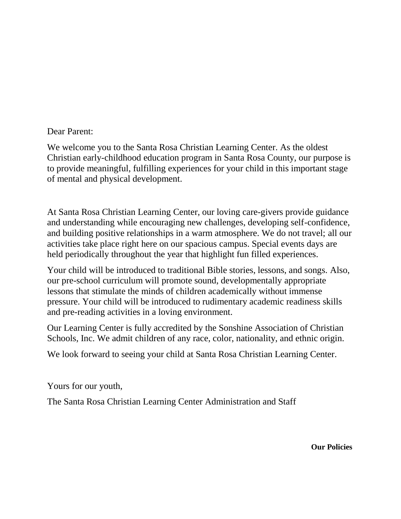Dear Parent:

We welcome you to the Santa Rosa Christian Learning Center. As the oldest Christian early-childhood education program in Santa Rosa County, our purpose is to provide meaningful, fulfilling experiences for your child in this important stage of mental and physical development.

At Santa Rosa Christian Learning Center, our loving care-givers provide guidance and understanding while encouraging new challenges, developing self-confidence, and building positive relationships in a warm atmosphere. We do not travel; all our activities take place right here on our spacious campus. Special events days are held periodically throughout the year that highlight fun filled experiences.

Your child will be introduced to traditional Bible stories, lessons, and songs. Also, our pre-school curriculum will promote sound, developmentally appropriate lessons that stimulate the minds of children academically without immense pressure. Your child will be introduced to rudimentary academic readiness skills and pre-reading activities in a loving environment.

Our Learning Center is fully accredited by the Sonshine Association of Christian Schools, Inc. We admit children of any race, color, nationality, and ethnic origin.

We look forward to seeing your child at Santa Rosa Christian Learning Center.

Yours for our youth,

The Santa Rosa Christian Learning Center Administration and Staff

**Our Policies**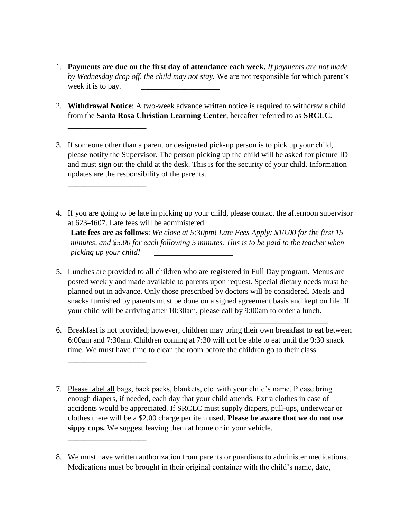- 1. **Payments are due on the first day of attendance each week.** *If payments are not made by Wednesday drop off, the child may not stay.* We are not responsible for which parent's week it is to pay.
- 2. **Withdrawal Notice**: A two-week advance written notice is required to withdraw a child from the **Santa Rosa Christian Learning Center**, hereafter referred to as **SRCLC**.

\_\_\_\_\_\_\_\_\_\_\_\_\_\_\_\_\_\_\_\_

\_\_\_\_\_\_\_\_\_\_\_\_\_\_\_\_\_\_\_\_

\_\_\_\_\_\_\_\_\_\_\_\_\_\_\_\_\_\_\_\_

\_\_\_\_\_\_\_\_\_\_\_\_\_\_\_\_\_\_\_\_

- 3. If someone other than a parent or designated pick-up person is to pick up your child, please notify the Supervisor. The person picking up the child will be asked for picture ID and must sign out the child at the desk. This is for the security of your child. Information updates are the responsibility of the parents.
- 4. If you are going to be late in picking up your child, please contact the afternoon supervisor at 623-4607. Late fees will be administered. **Late fees are as follows**: *We close at 5:30pm! Late Fees Apply: \$10.00 for the first 15*

*minutes, and \$5.00 for each following 5 minutes. This is to be paid to the teacher when picking up your child! \_\_\_\_\_\_\_\_\_\_\_\_\_\_\_\_\_\_\_\_*

- 5. Lunches are provided to all children who are registered in Full Day program. Menus are posted weekly and made available to parents upon request. Special dietary needs must be planned out in advance. Only those prescribed by doctors will be considered. Meals and snacks furnished by parents must be done on a signed agreement basis and kept on file. If your child will be arriving after 10:30am, please call by 9:00am to order a lunch.
- 6. Breakfast is not provided; however, children may bring their own breakfast to eat between 6:00am and 7:30am. Children coming at 7:30 will not be able to eat until the 9:30 snack time. We must have time to clean the room before the children go to their class.

 $\overline{\phantom{a}}$  , and the contract of the contract of the contract of the contract of the contract of the contract of the contract of the contract of the contract of the contract of the contract of the contract of the contrac

- 7. Please label all bags, back packs, blankets, etc. with your child's name. Please bring enough diapers, if needed, each day that your child attends. Extra clothes in case of accidents would be appreciated. If SRCLC must supply diapers, pull-ups, underwear or clothes there will be a \$2.00 charge per item used. **Please be aware that we do not use sippy cups.** We suggest leaving them at home or in your vehicle.
- 8. We must have written authorization from parents or guardians to administer medications. Medications must be brought in their original container with the child's name, date,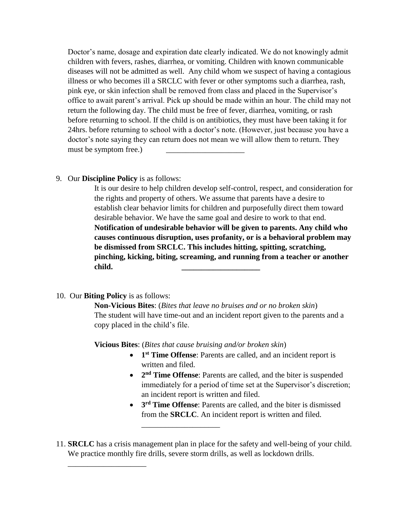Doctor's name, dosage and expiration date clearly indicated. We do not knowingly admit children with fevers, rashes, diarrhea, or vomiting. Children with known communicable diseases will not be admitted as well. Any child whom we suspect of having a contagious illness or who becomes ill a SRCLC with fever or other symptoms such a diarrhea, rash, pink eye, or skin infection shall be removed from class and placed in the Supervisor's office to await parent's arrival. Pick up should be made within an hour. The child may not return the following day. The child must be free of fever, diarrhea, vomiting, or rash before returning to school. If the child is on antibiotics, they must have been taking it for 24hrs. before returning to school with a doctor's note. (However, just because you have a doctor's note saying they can return does not mean we will allow them to return. They must be symptom free.)

9. Our **Discipline Policy** is as follows:

It is our desire to help children develop self-control, respect, and consideration for the rights and property of others. We assume that parents have a desire to establish clear behavior limits for children and purposefully direct them toward desirable behavior. We have the same goal and desire to work to that end. **Notification of undesirable behavior will be given to parents. Any child who causes continuous disruption, uses profanity, or is a behavioral problem may be dismissed from SRCLC. This includes hitting, spitting, scratching, pinching, kicking, biting, screaming, and running from a teacher or another child. \_\_\_\_\_\_\_\_\_\_\_\_\_\_\_\_\_\_\_\_**

10. Our **Biting Policy** is as follows:

\_\_\_\_\_\_\_\_\_\_\_\_\_\_\_\_\_\_\_\_

**Non-Vicious Bites**: (*Bites that leave no bruises and or no broken skin*) The student will have time-out and an incident report given to the parents and a copy placed in the child's file.

**Vicious Bites**: (*Bites that cause bruising and/or broken skin*)

\_\_\_\_\_\_\_\_\_\_\_\_\_\_\_\_\_\_\_\_

- **1 st Time Offense**: Parents are called, and an incident report is written and filed.
- 2<sup>nd</sup> **Time Offense**: Parents are called, and the biter is suspended immediately for a period of time set at the Supervisor's discretion; an incident report is written and filed.
- **3<sup>rd</sup> Time Offense**: Parents are called, and the biter is dismissed from the **SRCLC**. An incident report is written and filed.
- 11. **SRCLC** has a crisis management plan in place for the safety and well-being of your child. We practice monthly fire drills, severe storm drills, as well as lockdown drills.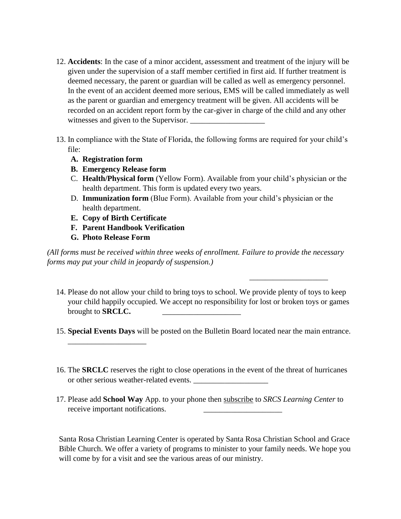- 12. **Accidents**: In the case of a minor accident, assessment and treatment of the injury will be given under the supervision of a staff member certified in first aid. If further treatment is deemed necessary, the parent or guardian will be called as well as emergency personnel. In the event of an accident deemed more serious, EMS will be called immediately as well as the parent or guardian and emergency treatment will be given. All accidents will be recorded on an accident report form by the car-giver in charge of the child and any other witnesses and given to the Supervisor.
- 13. In compliance with the State of Florida, the following forms are required for your child's file:
	- **A. Registration form**
	- **B. Emergency Release form**
	- C. **Health/Physical form** (Yellow Form). Available from your child's physician or the health department. This form is updated every two years.
	- D. **Immunization form** (Blue Form). Available from your child's physician or the health department.
	- **E. Copy of Birth Certificate**
	- **F. Parent Handbook Verification**
	- **G. Photo Release Form**

\_\_\_\_\_\_\_\_\_\_\_\_\_\_\_\_\_\_\_\_

*(All forms must be received within three weeks of enrollment. Failure to provide the necessary forms may put your child in jeopardy of suspension.)*

 *\_\_\_\_\_\_\_\_\_\_\_\_\_\_\_\_\_\_\_\_*

- 14. Please do not allow your child to bring toys to school. We provide plenty of toys to keep your child happily occupied. We accept no responsibility for lost or broken toys or games brought to **SRCLC**.
- 15. **Special Events Days** will be posted on the Bulletin Board located near the main entrance.
- 16. The **SRCLC** reserves the right to close operations in the event of the threat of hurricanes or other serious weather-related events.
- 17. Please add **School Way** App. to your phone then subscribe to *SRCS Learning Center* to receive important notifications.

Santa Rosa Christian Learning Center is operated by Santa Rosa Christian School and Grace Bible Church. We offer a variety of programs to minister to your family needs. We hope you will come by for a visit and see the various areas of our ministry.